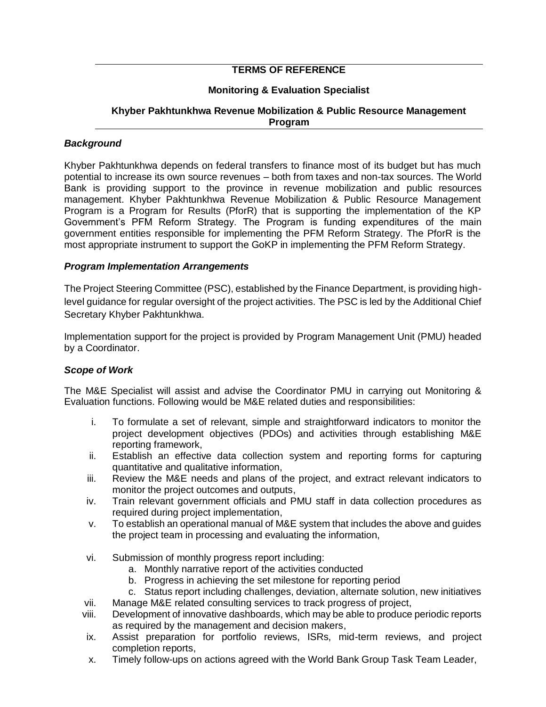# **TERMS OF REFERENCE**

# **Monitoring & Evaluation Specialist**

### **Khyber Pakhtunkhwa Revenue Mobilization & Public Resource Management Program**

## *Background*

Khyber Pakhtunkhwa depends on federal transfers to finance most of its budget but has much potential to increase its own source revenues – both from taxes and non-tax sources. The World Bank is providing support to the province in revenue mobilization and public resources management. Khyber Pakhtunkhwa Revenue Mobilization & Public Resource Management Program is a Program for Results (PforR) that is supporting the implementation of the KP Government's PFM Reform Strategy. The Program is funding expenditures of the main government entities responsible for implementing the PFM Reform Strategy. The PforR is the most appropriate instrument to support the GoKP in implementing the PFM Reform Strategy.

#### *Program Implementation Arrangements*

The Project Steering Committee (PSC), established by the Finance Department, is providing highlevel guidance for regular oversight of the project activities. The PSC is led by the Additional Chief Secretary Khyber Pakhtunkhwa.

Implementation support for the project is provided by Program Management Unit (PMU) headed by a Coordinator.

## *Scope of Work*

The M&E Specialist will assist and advise the Coordinator PMU in carrying out Monitoring & Evaluation functions. Following would be M&E related duties and responsibilities:

- i. To formulate a set of relevant, simple and straightforward indicators to monitor the project development objectives (PDOs) and activities through establishing M&E reporting framework,
- ii. Establish an effective data collection system and reporting forms for capturing quantitative and qualitative information,
- iii. Review the M&E needs and plans of the project, and extract relevant indicators to monitor the project outcomes and outputs,
- iv. Train relevant government officials and PMU staff in data collection procedures as required during project implementation,
- v. To establish an operational manual of M&E system that includes the above and guides the project team in processing and evaluating the information,
- vi. Submission of monthly progress report including:
	- a. Monthly narrative report of the activities conducted
	- b. Progress in achieving the set milestone for reporting period
	- c. Status report including challenges, deviation, alternate solution, new initiatives
- vii. Manage M&E related consulting services to track progress of project,
- viii. Development of innovative dashboards, which may be able to produce periodic reports as required by the management and decision makers,
- ix. Assist preparation for portfolio reviews, ISRs, mid-term reviews, and project completion reports,
- x. Timely follow-ups on actions agreed with the World Bank Group Task Team Leader,